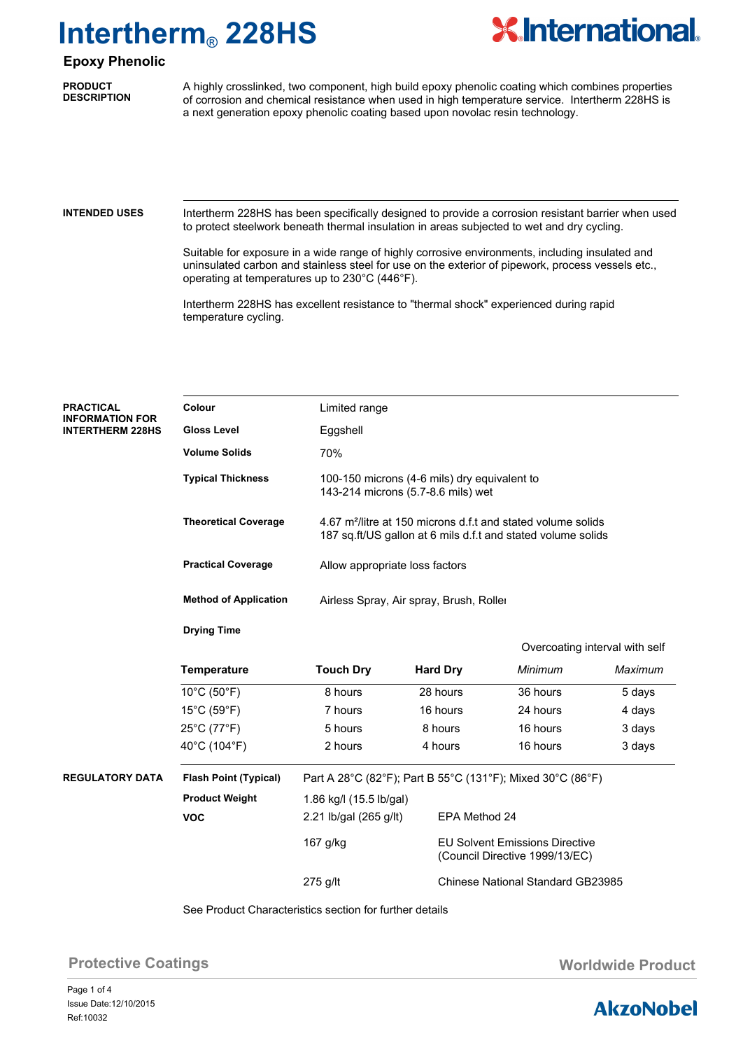

### **Epoxy Phenolic**

**PRODUCT DESCRIPTION**

A highly crosslinked, two component, high build epoxy phenolic coating which combines properties of corrosion and chemical resistance when used in high temperature service. Intertherm 228HS is a next generation epoxy phenolic coating based upon novolac resin technology.

#### **INTENDED USES**

Intertherm 228HS has been specifically designed to provide a corrosion resistant barrier when used to protect steelwork beneath thermal insulation in areas subjected to wet and dry cycling.

Suitable for exposure in a wide range of highly corrosive environments, including insulated and uninsulated carbon and stainless steel for use on the exterior of pipework, process vessels etc., operating at temperatures up to 230°C (446°F).

Intertherm 228HS has excellent resistance to "thermal shock" experienced during rapid temperature cycling.

| <b>PRACTICAL</b><br><b>INFORMATION FOR</b> | Colour                                                  | Limited range                                                                                                                            |                                                                         |                                          |         |  |  |  |
|--------------------------------------------|---------------------------------------------------------|------------------------------------------------------------------------------------------------------------------------------------------|-------------------------------------------------------------------------|------------------------------------------|---------|--|--|--|
| <b>INTERTHERM 228HS</b>                    | <b>Gloss Level</b>                                      | Eggshell                                                                                                                                 |                                                                         |                                          |         |  |  |  |
|                                            | <b>Volume Solids</b>                                    | 70%                                                                                                                                      |                                                                         |                                          |         |  |  |  |
|                                            | <b>Typical Thickness</b>                                | 100-150 microns (4-6 mils) dry equivalent to<br>143-214 microns (5.7-8.6 mils) wet                                                       |                                                                         |                                          |         |  |  |  |
|                                            | <b>Theoretical Coverage</b>                             | 4.67 m <sup>2</sup> /litre at 150 microns d.f.t and stated volume solids<br>187 sq.ft/US gallon at 6 mils d.f.t and stated volume solids |                                                                         |                                          |         |  |  |  |
|                                            | <b>Practical Coverage</b>                               | Allow appropriate loss factors                                                                                                           |                                                                         |                                          |         |  |  |  |
|                                            | <b>Method of Application</b>                            |                                                                                                                                          | Airless Spray, Air spray, Brush, Roller                                 |                                          |         |  |  |  |
|                                            | <b>Drying Time</b>                                      |                                                                                                                                          |                                                                         |                                          |         |  |  |  |
|                                            |                                                         | Overcoating interval with self                                                                                                           |                                                                         |                                          |         |  |  |  |
|                                            | <b>Temperature</b>                                      | <b>Touch Dry</b>                                                                                                                         | <b>Hard Dry</b>                                                         | Minimum                                  | Maximum |  |  |  |
|                                            | $10^{\circ}$ C (50 $^{\circ}$ F)                        | 8 hours                                                                                                                                  | 28 hours                                                                | 36 hours                                 | 5 days  |  |  |  |
|                                            | $15^{\circ}$ C (59 $^{\circ}$ F)                        | 7 hours                                                                                                                                  | 16 hours                                                                | 24 hours                                 | 4 days  |  |  |  |
|                                            | 25°C (77°F)                                             | 5 hours                                                                                                                                  | 8 hours                                                                 | 16 hours                                 | 3 days  |  |  |  |
|                                            | 40°C (104°F)                                            | 2 hours                                                                                                                                  | 4 hours                                                                 | 16 hours                                 | 3 days  |  |  |  |
| <b>REGULATORY DATA</b>                     | <b>Flash Point (Typical)</b>                            | Part A 28°C (82°F); Part B 55°C (131°F); Mixed 30°C (86°F)                                                                               |                                                                         |                                          |         |  |  |  |
|                                            | <b>Product Weight</b>                                   | 1.86 kg/l (15.5 lb/gal)                                                                                                                  |                                                                         |                                          |         |  |  |  |
|                                            | <b>VOC</b>                                              | 2.21 lb/gal (265 g/lt)                                                                                                                   |                                                                         | EPA Method 24                            |         |  |  |  |
|                                            |                                                         | 167 g/kg                                                                                                                                 | <b>EU Solvent Emissions Directive</b><br>(Council Directive 1999/13/EC) |                                          |         |  |  |  |
|                                            |                                                         | 275 g/lt                                                                                                                                 |                                                                         | <b>Chinese National Standard GB23985</b> |         |  |  |  |
|                                            | See Brodust Characteristics section for further details |                                                                                                                                          |                                                                         |                                          |         |  |  |  |

See Product Characteristics section for further details

**Protective Coatings Community Community Community Product Worldwide Product** 

### **AkzoNobel**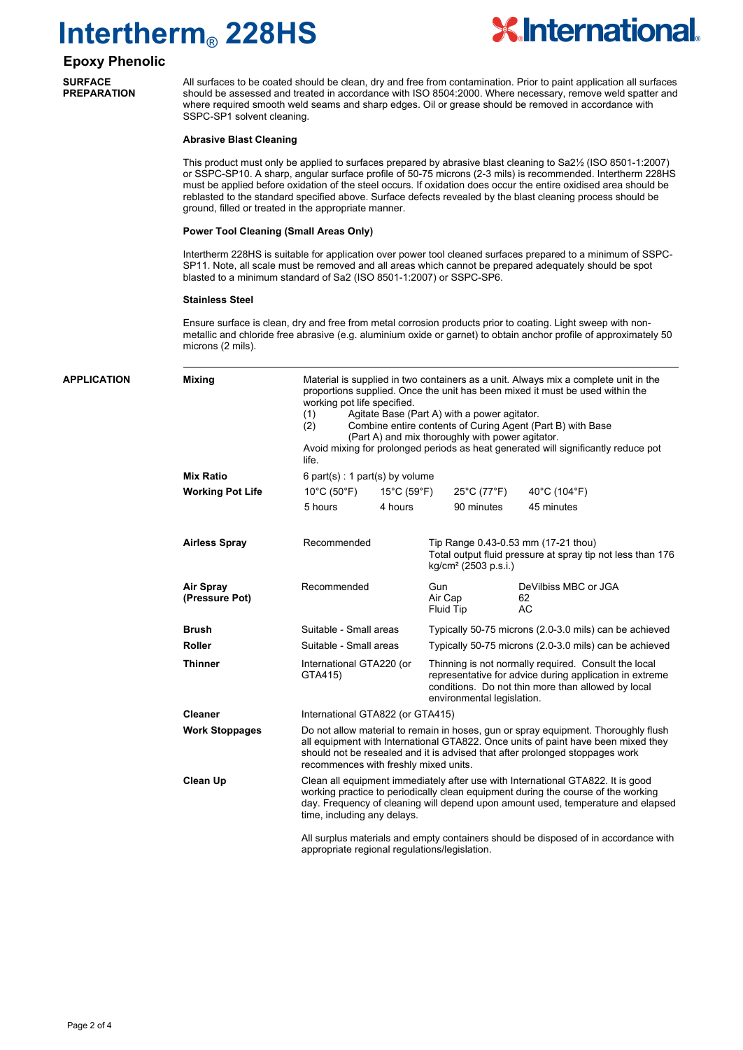

### **Epoxy Phenolic**

**SURFACE PREPARATION**

All surfaces to be coated should be clean, dry and free from contamination. Prior to paint application all surfaces should be assessed and treated in accordance with ISO 8504:2000. Where necessary, remove weld spatter and where required smooth weld seams and sharp edges. Oil or grease should be removed in accordance with SSPC-SP1 solvent cleaning.

#### **Abrasive Blast Cleaning**

This product must only be applied to surfaces prepared by abrasive blast cleaning to Sa2½ (ISO 8501-1:2007) or SSPC-SP10. A sharp, angular surface profile of 50-75 microns (2-3 mils) is recommended. Intertherm 228HS must be applied before oxidation of the steel occurs. If oxidation does occur the entire oxidised area should be reblasted to the standard specified above. Surface defects revealed by the blast cleaning process should be ground, filled or treated in the appropriate manner.

#### **Power Tool Cleaning (Small Areas Only)**

Intertherm 228HS is suitable for application over power tool cleaned surfaces prepared to a minimum of SSPC-SP11. Note, all scale must be removed and all areas which cannot be prepared adequately should be spot blasted to a minimum standard of Sa2 (ISO 8501-1:2007) or SSPC-SP6.

#### **Stainless Steel**

Ensure surface is clean, dry and free from metal corrosion products prior to coating. Light sweep with nonmetallic and chloride free abrasive (e.g. aluminium oxide or garnet) to obtain anchor profile of approximately 50 microns (2 mils).

| <b>APPLICATION</b> | <b>Mixing</b>                      | Material is supplied in two containers as a unit. Always mix a complete unit in the<br>proportions supplied. Once the unit has been mixed it must be used within the<br>working pot life specified.<br>Agitate Base (Part A) with a power agitator.<br>(1)<br>(2)<br>Combine entire contents of Curing Agent (Part B) with Base<br>(Part A) and mix thoroughly with power agitator.<br>Avoid mixing for prolonged periods as heat generated will significantly reduce pot<br>life.<br>6 part(s) : 1 part(s) by volume |                        |                                                                                                                                                                                                     |                                                        |  |  |
|--------------------|------------------------------------|-----------------------------------------------------------------------------------------------------------------------------------------------------------------------------------------------------------------------------------------------------------------------------------------------------------------------------------------------------------------------------------------------------------------------------------------------------------------------------------------------------------------------|------------------------|-----------------------------------------------------------------------------------------------------------------------------------------------------------------------------------------------------|--------------------------------------------------------|--|--|
|                    | <b>Mix Ratio</b>                   |                                                                                                                                                                                                                                                                                                                                                                                                                                                                                                                       |                        |                                                                                                                                                                                                     |                                                        |  |  |
|                    | <b>Working Pot Life</b>            | $10^{\circ}$ C (50 $^{\circ}$ F)                                                                                                                                                                                                                                                                                                                                                                                                                                                                                      | 15°C (59°F)            | 25°C (77°F)                                                                                                                                                                                         | 40°C (104°F)                                           |  |  |
|                    |                                    | 5 hours                                                                                                                                                                                                                                                                                                                                                                                                                                                                                                               | 4 hours                | 90 minutes                                                                                                                                                                                          | 45 minutes                                             |  |  |
|                    | <b>Airless Spray</b>               | Recommended                                                                                                                                                                                                                                                                                                                                                                                                                                                                                                           |                        | Tip Range 0.43-0.53 mm (17-21 thou)<br>Total output fluid pressure at spray tip not less than 176<br>kg/cm <sup>2</sup> (2503 p.s.i.)                                                               |                                                        |  |  |
|                    | <b>Air Spray</b><br>(Pressure Pot) | Recommended                                                                                                                                                                                                                                                                                                                                                                                                                                                                                                           |                        | Gun<br>Air Cap<br>Fluid Tip                                                                                                                                                                         | DeVilbiss MBC or JGA<br>62<br><b>AC</b>                |  |  |
|                    | <b>Brush</b>                       | Suitable - Small areas                                                                                                                                                                                                                                                                                                                                                                                                                                                                                                |                        | Typically 50-75 microns (2.0-3.0 mils) can be achieved                                                                                                                                              |                                                        |  |  |
|                    | <b>Roller</b>                      |                                                                                                                                                                                                                                                                                                                                                                                                                                                                                                                       | Suitable - Small areas |                                                                                                                                                                                                     | Typically 50-75 microns (2.0-3.0 mils) can be achieved |  |  |
|                    | <b>Thinner</b>                     | International GTA220 (or<br>GTA415)                                                                                                                                                                                                                                                                                                                                                                                                                                                                                   |                        | Thinning is not normally required. Consult the local<br>representative for advice during application in extreme<br>conditions. Do not thin more than allowed by local<br>environmental legislation. |                                                        |  |  |
|                    | <b>Cleaner</b>                     | International GTA822 (or GTA415)                                                                                                                                                                                                                                                                                                                                                                                                                                                                                      |                        |                                                                                                                                                                                                     |                                                        |  |  |
|                    | <b>Work Stoppages</b>              | Do not allow material to remain in hoses, gun or spray equipment. Thoroughly flush<br>all equipment with International GTA822. Once units of paint have been mixed they<br>should not be resealed and it is advised that after prolonged stoppages work<br>recommences with freshly mixed units.                                                                                                                                                                                                                      |                        |                                                                                                                                                                                                     |                                                        |  |  |
|                    | Clean Up                           | Clean all equipment immediately after use with International GTA822. It is good<br>working practice to periodically clean equipment during the course of the working<br>day. Frequency of cleaning will depend upon amount used, temperature and elapsed<br>time, including any delays.<br>All surplus materials and empty containers should be disposed of in accordance with<br>appropriate regional regulations/legislation.                                                                                       |                        |                                                                                                                                                                                                     |                                                        |  |  |
|                    |                                    |                                                                                                                                                                                                                                                                                                                                                                                                                                                                                                                       |                        |                                                                                                                                                                                                     |                                                        |  |  |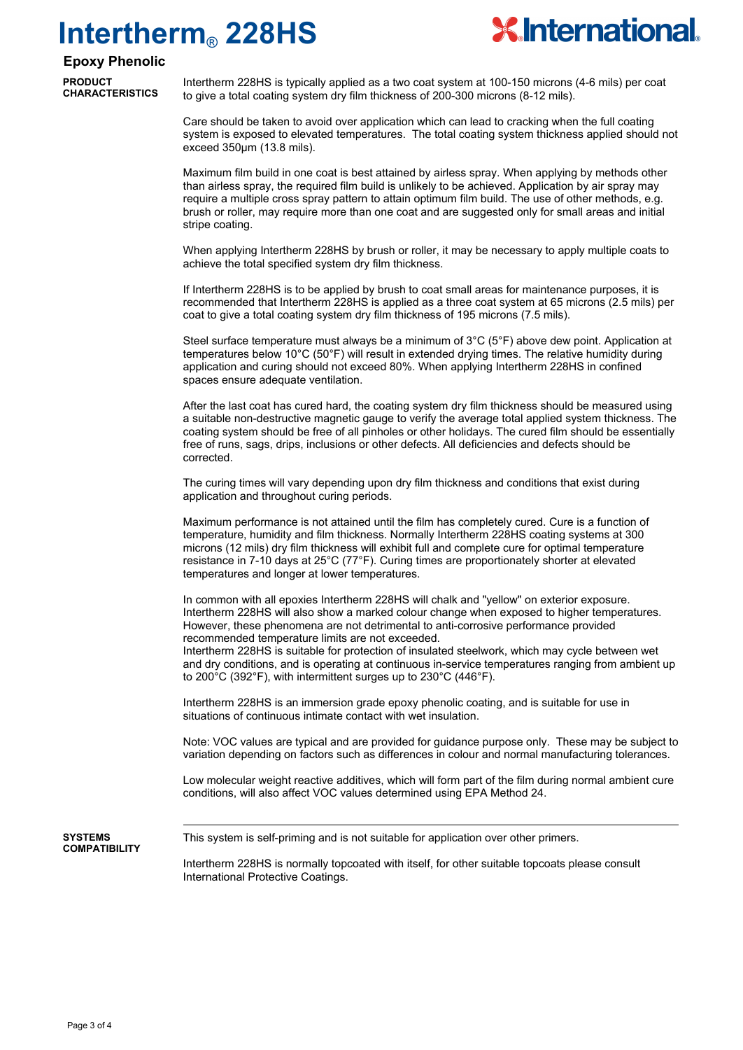

#### **Epoxy Phenolic**

**PRODUCT CHARACTERISTICS**

Intertherm 228HS is typically applied as a two coat system at 100-150 microns (4-6 mils) per coat to give a total coating system dry film thickness of 200-300 microns (8-12 mils).

Care should be taken to avoid over application which can lead to cracking when the full coating system is exposed to elevated temperatures. The total coating system thickness applied should not exceed 350µm (13.8 mils).

Maximum film build in one coat is best attained by airless spray. When applying by methods other than airless spray, the required film build is unlikely to be achieved. Application by air spray may require a multiple cross spray pattern to attain optimum film build. The use of other methods, e.g. brush or roller, may require more than one coat and are suggested only for small areas and initial stripe coating.

When applying Intertherm 228HS by brush or roller, it may be necessary to apply multiple coats to achieve the total specified system dry film thickness.

If Intertherm 228HS is to be applied by brush to coat small areas for maintenance purposes, it is recommended that Intertherm 228HS is applied as a three coat system at 65 microns (2.5 mils) per coat to give a total coating system dry film thickness of 195 microns (7.5 mils).

Steel surface temperature must always be a minimum of 3°C (5°F) above dew point. Application at temperatures below 10°C (50°F) will result in extended drying times. The relative humidity during application and curing should not exceed 80%. When applying Intertherm 228HS in confined spaces ensure adequate ventilation.

After the last coat has cured hard, the coating system dry film thickness should be measured using a suitable non-destructive magnetic gauge to verify the average total applied system thickness. The coating system should be free of all pinholes or other holidays. The cured film should be essentially free of runs, sags, drips, inclusions or other defects. All deficiencies and defects should be corrected.

The curing times will vary depending upon dry film thickness and conditions that exist during application and throughout curing periods.

Maximum performance is not attained until the film has completely cured. Cure is a function of temperature, humidity and film thickness. Normally Intertherm 228HS coating systems at 300 microns (12 mils) dry film thickness will exhibit full and complete cure for optimal temperature resistance in 7-10 days at 25°C (77°F). Curing times are proportionately shorter at elevated temperatures and longer at lower temperatures.

In common with all epoxies Intertherm 228HS will chalk and "yellow" on exterior exposure. Intertherm 228HS will also show a marked colour change when exposed to higher temperatures. However, these phenomena are not detrimental to anti-corrosive performance provided recommended temperature limits are not exceeded.

Intertherm 228HS is suitable for protection of insulated steelwork, which may cycle between wet and dry conditions, and is operating at continuous in-service temperatures ranging from ambient up to 200°C (392°F), with intermittent surges up to 230°C (446°F).

Intertherm 228HS is an immersion grade epoxy phenolic coating, and is suitable for use in situations of continuous intimate contact with wet insulation.

Note: VOC values are typical and are provided for guidance purpose only. These may be subject to variation depending on factors such as differences in colour and normal manufacturing tolerances.

Low molecular weight reactive additives, which will form part of the film during normal ambient cure conditions, will also affect VOC values determined using EPA Method 24.

**SYSTEMS COMPATIBILITY** This system is self-priming and is not suitable for application over other primers.

Intertherm 228HS is normally topcoated with itself, for other suitable topcoats please consult International Protective Coatings.